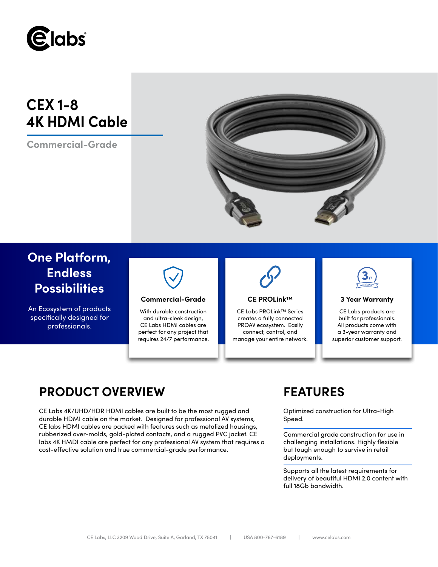

# **CEX 1-8 4K HDMI Cable**

**Commercial-Grade**



# **One Platform, Endless Possibilities**

An Ecosystem of products specifically designed for professionals.



## **Commercial-Grade 3 Year Warranty**

With durable construction and ultra-sleek design, CE Labs HDMI cables are perfect for any project that requires 24/7 performance.



### **CE PROLink™**

CE Labs PROLink™ Series creates a fully connected PROAV ecosystem. Easily connect, control, and manage your entire network.



CE Labs products are built for professionals. All products come with a 3-year warranty and superior customer support.

# **PRODUCT OVERVIEW FEATURES**

CE Labs 4K/UHD/HDR HDMI cables are built to be the most rugged and durable HDMI cable on the market. Designed for professional AV systems, CE labs HDMI cables are packed with features such as metalized housings, rubberized over-molds, gold-plated contacts, and a rugged PVC jacket. CE labs 4K HMDI cable are perfect for any professional AV system that requires a cost-effective solution and true commercial-grade performance.

Optimized construction for Ultra-High Speed.

Commercial grade construction for use in challenging installations. Highly flexible but tough enough to survive in retail deployments.

Supports all the latest requirements for delivery of beautiful HDMI 2.0 content with full 18Gb bandwidth.